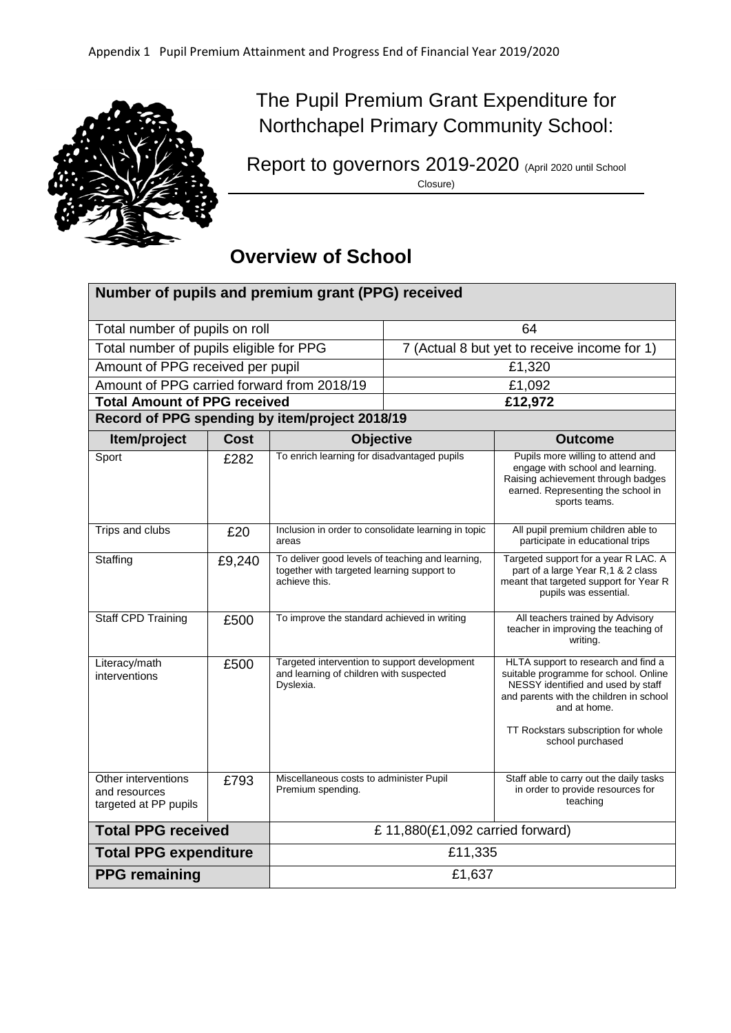

# The Pupil Premium Grant Expenditure for Northchapel Primary Community School:

Report to governors 2019-2020 (April 2020 until School Closure)

**Overview of School**

| Number of pupils and premium grant (PPG) received             |             |                                                                                                                 |                                              |                                                                                                                                                                                                                                          |  |  |  |  |
|---------------------------------------------------------------|-------------|-----------------------------------------------------------------------------------------------------------------|----------------------------------------------|------------------------------------------------------------------------------------------------------------------------------------------------------------------------------------------------------------------------------------------|--|--|--|--|
| Total number of pupils on roll                                |             |                                                                                                                 | 64                                           |                                                                                                                                                                                                                                          |  |  |  |  |
| Total number of pupils eligible for PPG                       |             |                                                                                                                 | 7 (Actual 8 but yet to receive income for 1) |                                                                                                                                                                                                                                          |  |  |  |  |
| Amount of PPG received per pupil                              |             |                                                                                                                 | £1,320                                       |                                                                                                                                                                                                                                          |  |  |  |  |
| Amount of PPG carried forward from 2018/19                    |             |                                                                                                                 | £1,092                                       |                                                                                                                                                                                                                                          |  |  |  |  |
| <b>Total Amount of PPG received</b>                           |             |                                                                                                                 | £12,972                                      |                                                                                                                                                                                                                                          |  |  |  |  |
|                                                               |             | Record of PPG spending by item/project 2018/19                                                                  |                                              |                                                                                                                                                                                                                                          |  |  |  |  |
| Item/project                                                  | <b>Cost</b> | <b>Objective</b>                                                                                                |                                              | <b>Outcome</b>                                                                                                                                                                                                                           |  |  |  |  |
| Sport                                                         | £282        | To enrich learning for disadvantaged pupils                                                                     |                                              | Pupils more willing to attend and<br>engage with school and learning.<br>Raising achievement through badges<br>earned. Representing the school in<br>sports teams.                                                                       |  |  |  |  |
| Trips and clubs                                               | £20         | Inclusion in order to consolidate learning in topic<br>areas                                                    |                                              | All pupil premium children able to<br>participate in educational trips                                                                                                                                                                   |  |  |  |  |
| Staffing                                                      | £9,240      | To deliver good levels of teaching and learning,<br>together with targeted learning support to<br>achieve this. |                                              | Targeted support for a year R LAC. A<br>part of a large Year R,1 & 2 class<br>meant that targeted support for Year R<br>pupils was essential.                                                                                            |  |  |  |  |
| Staff CPD Training                                            | £500        | To improve the standard achieved in writing                                                                     |                                              | All teachers trained by Advisory<br>teacher in improving the teaching of<br>writing.                                                                                                                                                     |  |  |  |  |
| Literacy/math<br>interventions                                | £500        | Targeted intervention to support development<br>and learning of children with suspected<br>Dyslexia.            |                                              | HLTA support to research and find a<br>suitable programme for school. Online<br>NESSY identified and used by staff<br>and parents with the children in school<br>and at home.<br>TT Rockstars subscription for whole<br>school purchased |  |  |  |  |
| Other interventions<br>and resources<br>targeted at PP pupils | £793        | Miscellaneous costs to administer Pupil<br>Premium spending.                                                    |                                              | Staff able to carry out the daily tasks<br>in order to provide resources for<br>teaching                                                                                                                                                 |  |  |  |  |
| <b>Total PPG received</b>                                     |             | £ 11,880(£1,092 carried forward)                                                                                |                                              |                                                                                                                                                                                                                                          |  |  |  |  |
| <b>Total PPG expenditure</b>                                  |             | £11,335                                                                                                         |                                              |                                                                                                                                                                                                                                          |  |  |  |  |
| <b>PPG</b> remaining                                          |             | £1,637                                                                                                          |                                              |                                                                                                                                                                                                                                          |  |  |  |  |